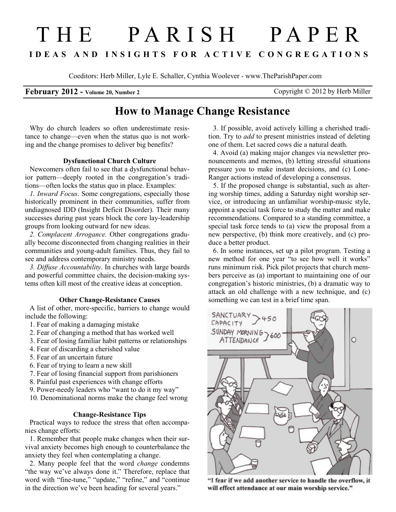# THE PARISH PAPER I D E A S A N D I N S I G H T S F O R A C T I V E C O N G R E G A T I O N S

Coeditors: Herb Miller, Lyle E. Schaller, Cynthia Woolever - www.TheParishPaper.com

### February 2012 - Volume 20, Number 2 Copyright © 2012 by Herb Miller

## How to Manage Change Resistance

Why do church leaders so often underestimate resistance to change—even when the status quo is not working and the change promises to deliver big benefits?

#### Dysfunctional Church Culture

Newcomers often fail to see that a dysfunctional behavior pattern—deeply rooted in the congregation's traditions—often locks the status quo in place. Examples:

1. Inward Focus. Some congregations, especially those historically prominent in their communities, suffer from undiagnosed IDD (Insight Deficit Disorder). Their many successes during past years block the core lay-leadership groups from looking outward for new ideas.

2. Complacent Arrogance. Other congregations gradually become disconnected from changing realities in their communities and young-adult families. Thus, they fail to see and address contemporary ministry needs.

3. Diffuse Accountability. In churches with large boards and powerful committee chairs, the decision-making systems often kill most of the creative ideas at conception.

#### Other Change-Resistance Causes

A list of other, more-specific, barriers to change would include the following:

- 1. Fear of making a damaging mistake
- 2. Fear of changing a method that has worked well
- 3. Fear of losing familiar habit patterns or relationships
- 4. Fear of discarding a cherished value
- 5. Fear of an uncertain future
- 6. Fear of trying to learn a new skill
- 7. Fear of losing financial support from parishioners
- 8. Painful past experiences with change efforts
- 9. Power-needy leaders who "want to do it my way"
- 10. Denominational norms make the change feel wrong

#### Change-Resistance Tips

Practical ways to reduce the stress that often accompanies change efforts:

1. Remember that people make changes when their survival anxiety becomes high enough to counterbalance the anxiety they feel when contemplating a change.

2. Many people feel that the word change condemns "the way we've always done it." Therefore, replace that word with "fine-tune," "update," "refine," and "continue in the direction we've been heading for several years."

3. If possible, avoid actively killing a cherished tradition. Try to *add* to present ministries instead of deleting one of them. Let sacred cows die a natural death.

4. Avoid (a) making major changes via newsletter pronouncements and memos, (b) letting stressful situations pressure you to make instant decisions, and (c) Lone-Ranger actions instead of developing a consensus.

5. If the proposed change is substantial, such as altering worship times, adding a Saturday night worship service, or introducing an unfamiliar worship-music style, appoint a special task force to study the matter and make recommendations. Compared to a standing committee, a special task force tends to (a) view the proposal from a new perspective, (b) think more creatively, and (c) produce a better product.

6. In some instances, set up a pilot program. Testing a new method for one year "to see how well it works" runs minimum risk. Pick pilot projects that church members perceive as (a) important to maintaining one of our congregation's historic ministries, (b) a dramatic way to attack an old challenge with a new technique, and (c) something we can test in a brief time span.



"I fear if we add another service to handle the overflow, it will effect attendance at our main worship service."